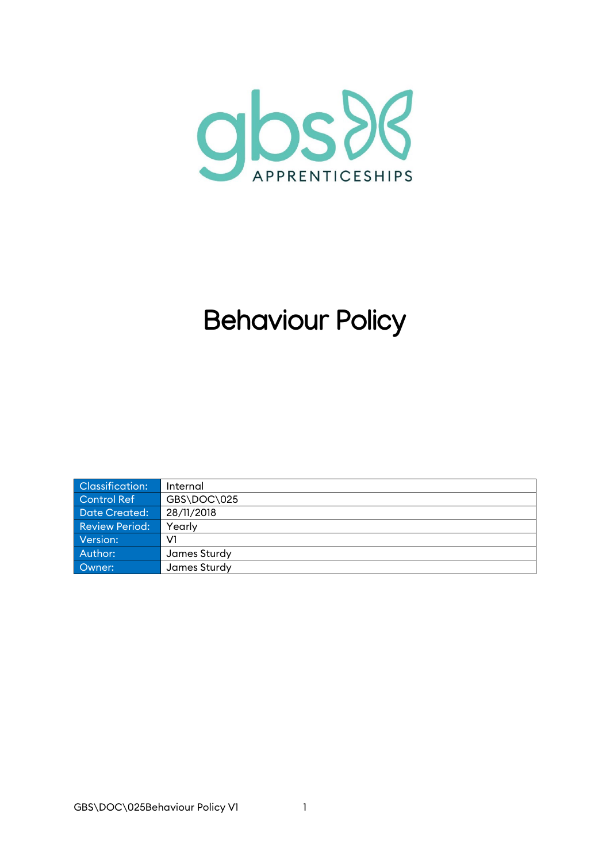

# **Behaviour Policy**

| Classification: | Internal     |
|-----------------|--------------|
| Control Ref     | GBS\DOC\025  |
| Date Created:   | 28/11/2018   |
| Review Period:  | Yearly       |
| Version:        | V1           |
| Author:         | James Sturdy |
| Owner:          | James Sturdy |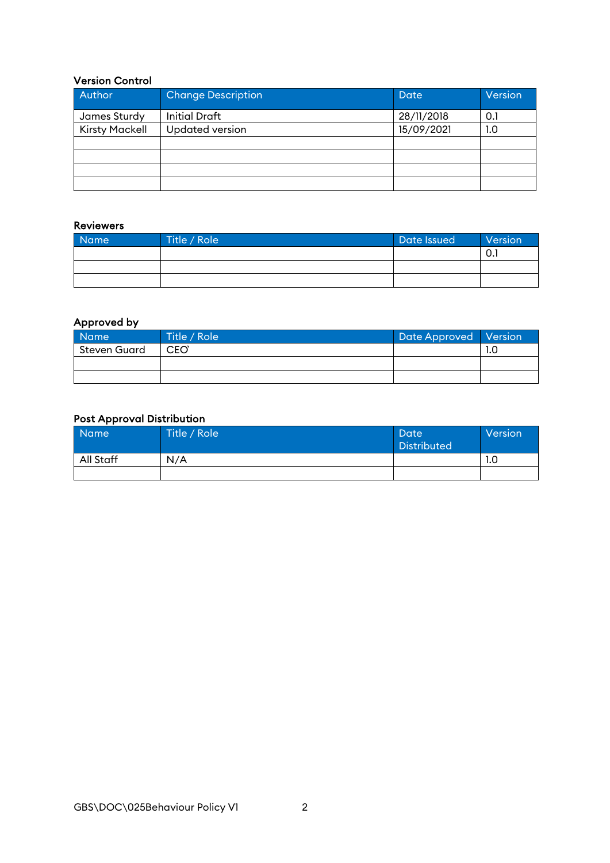#### Version Control

| Author                | <b>Change Description</b> | Date       | <b>Version</b> |
|-----------------------|---------------------------|------------|----------------|
| James Sturdy          | <b>Initial Draft</b>      | 28/11/2018 | 0.1            |
| <b>Kirsty Mackell</b> | <b>Updated version</b>    | 15/09/2021 | 1.0            |
|                       |                           |            |                |
|                       |                           |            |                |
|                       |                           |            |                |
|                       |                           |            |                |

#### Reviewers

| Name | Title / Role 1 | Date Issued | Version |
|------|----------------|-------------|---------|
|      |                |             | v.      |
|      |                |             |         |
|      |                |             |         |

#### Approved by

| <b>Name</b>  | Title / Role     | Date Approved   Version |     |
|--------------|------------------|-------------------------|-----|
| Steven Guard | CEO <sup>®</sup> |                         | 1.0 |
|              |                  |                         |     |
|              |                  |                         |     |

#### Post Approval Distribution

| <b>Name</b> | Title / Role | Date<br><b>Distributed</b> | Version |
|-------------|--------------|----------------------------|---------|
| All Staff   | N/A          |                            | 1.C     |
|             |              |                            |         |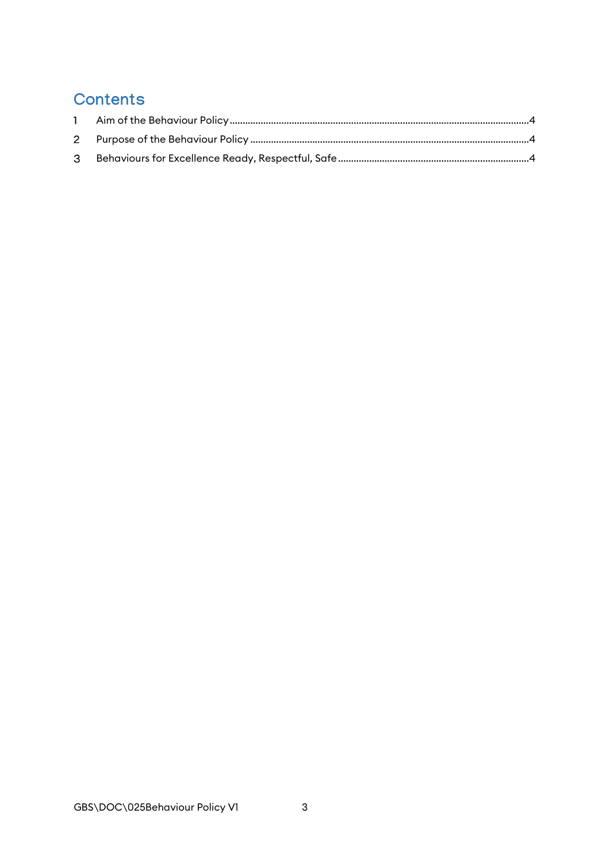# **Contents**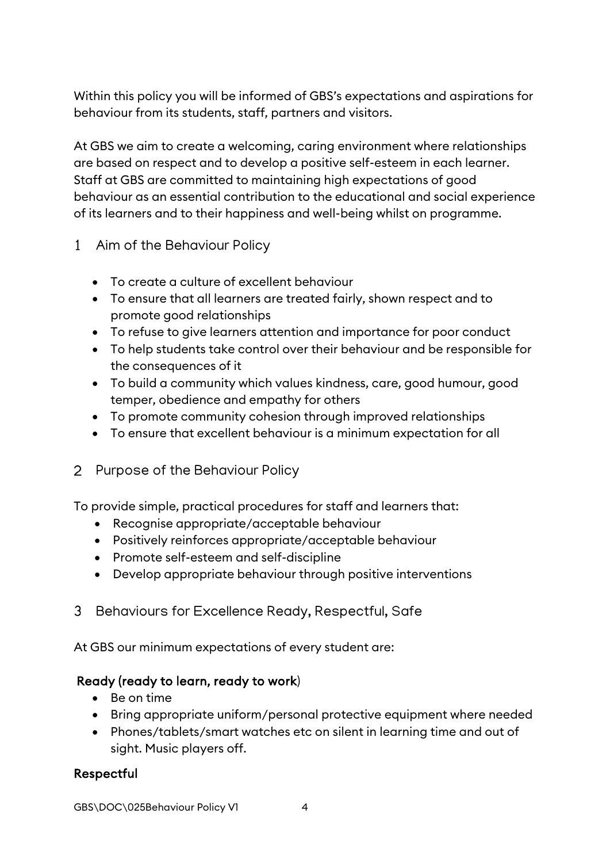Within this policy you will be informed of GBS's expectations and aspirations for behaviour from its students, staff, partners and visitors.

At GBS we aim to create a welcoming, caring environment where relationships are based on respect and to develop a positive self-esteem in each learner. Staff at GBS are committed to maintaining high expectations of good behaviour as an essential contribution to the educational and social experience of its learners and to their happiness and well-being whilst on programme.

- <span id="page-3-0"></span>Aim of the Behaviour Policy
	- To create a culture of excellent behaviour
	- To ensure that all learners are treated fairly, shown respect and to promote good relationships
	- To refuse to give learners attention and importance for poor conduct
	- To help students take control over their behaviour and be responsible for the consequences of it
	- To build a community which values kindness, care, good humour, good temper, obedience and empathy for others
	- To promote community cohesion through improved relationships
	- To ensure that excellent behaviour is a minimum expectation for all
- <span id="page-3-1"></span>2 Purpose of the Behaviour Policy

To provide simple, practical procedures for staff and learners that:

- Recognise appropriate/acceptable behaviour
- Positively reinforces appropriate/acceptable behaviour
- Promote self-esteem and self-discipline
- Develop appropriate behaviour through positive interventions
- <span id="page-3-2"></span>3 Behaviours for Excellence Ready, Respectful, Safe

At GBS our minimum expectations of every student are:

# Ready (ready to learn, ready to work)

- Be on time
- Bring appropriate uniform/personal protective equipment where needed
- Phones/tablets/smart watches etc on silent in learning time and out of sight. Music players off.

# Respectful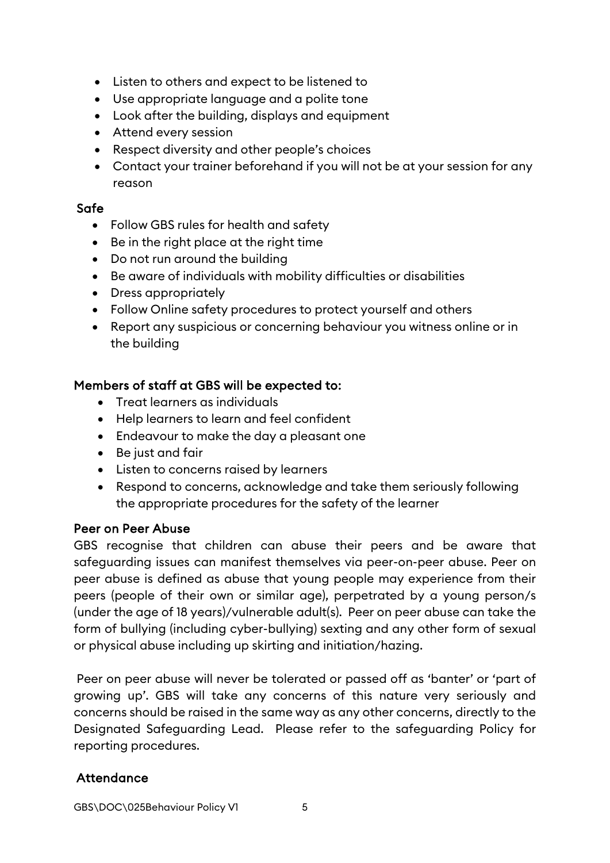- Listen to others and expect to be listened to
- Use appropriate language and a polite tone
- Look after the building, displays and equipment
- Attend every session
- Respect diversity and other people's choices
- Contact your trainer beforehand if you will not be at your session for any reason

## Safe

- Follow GBS rules for health and safety
- Be in the right place at the right time
- Do not run around the building
- Be aware of individuals with mobility difficulties or disabilities
- Dress appropriately
- Follow Online safety procedures to protect yourself and others
- Report any suspicious or concerning behaviour you witness online or in the building

# Members of staff at GBS will be expected to:

- Treat learners as individuals
- Help learners to learn and feel confident
- Endeavour to make the day a pleasant one
- Be just and fair
- Listen to concerns raised by learners
- Respond to concerns, acknowledge and take them seriously following the appropriate procedures for the safety of the learner

## Peer on Peer Abuse

GBS recognise that children can abuse their peers and be aware that safeguarding issues can manifest themselves via peer-on-peer abuse. Peer on peer abuse is defined as abuse that young people may experience from their peers (people of their own or similar age), perpetrated by a young person/s (under the age of 18 years)/vulnerable adult(s). Peer on peer abuse can take the form of bullying (including cyber-bullying) sexting and any other form of sexual or physical abuse including up skirting and initiation/hazing.

Peer on peer abuse will never be tolerated or passed off as 'banter' or 'part of growing up'. GBS will take any concerns of this nature very seriously and concerns should be raised in the same way as any other concerns, directly to the Designated Safeguarding Lead. Please refer to the safeguarding Policy for reporting procedures.

# **Attendance**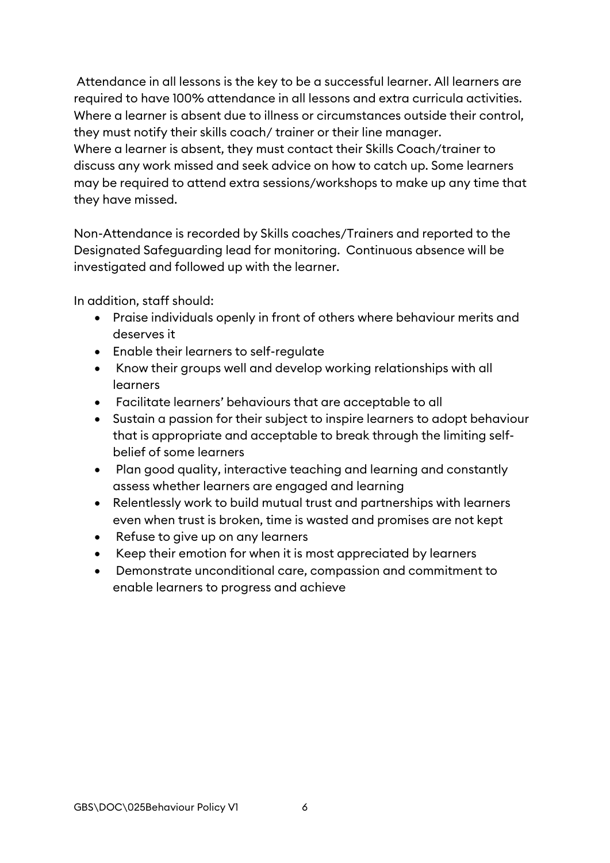Attendance in all lessons is the key to be a successful learner. All learners are required to have 100% attendance in all lessons and extra curricula activities. Where a learner is absent due to illness or circumstances outside their control, they must notify their skills coach/ trainer or their line manager. Where a learner is absent, they must contact their Skills Coach/trainer to discuss any work missed and seek advice on how to catch up. Some learners may be required to attend extra sessions/workshops to make up any time that they have missed.

Non-Attendance is recorded by Skills coaches/Trainers and reported to the Designated Safeguarding lead for monitoring. Continuous absence will be investigated and followed up with the learner.

In addition, staff should:

- Praise individuals openly in front of others where behaviour merits and deserves it
- Enable their learners to self-regulate
- Know their groups well and develop working relationships with all learners
- Facilitate learners' behaviours that are acceptable to all
- Sustain a passion for their subject to inspire learners to adopt behaviour that is appropriate and acceptable to break through the limiting selfbelief of some learners
- Plan good quality, interactive teaching and learning and constantly assess whether learners are engaged and learning
- Relentlessly work to build mutual trust and partnerships with learners even when trust is broken, time is wasted and promises are not kept
- Refuse to give up on any learners
- Keep their emotion for when it is most appreciated by learners
- Demonstrate unconditional care, compassion and commitment to enable learners to progress and achieve